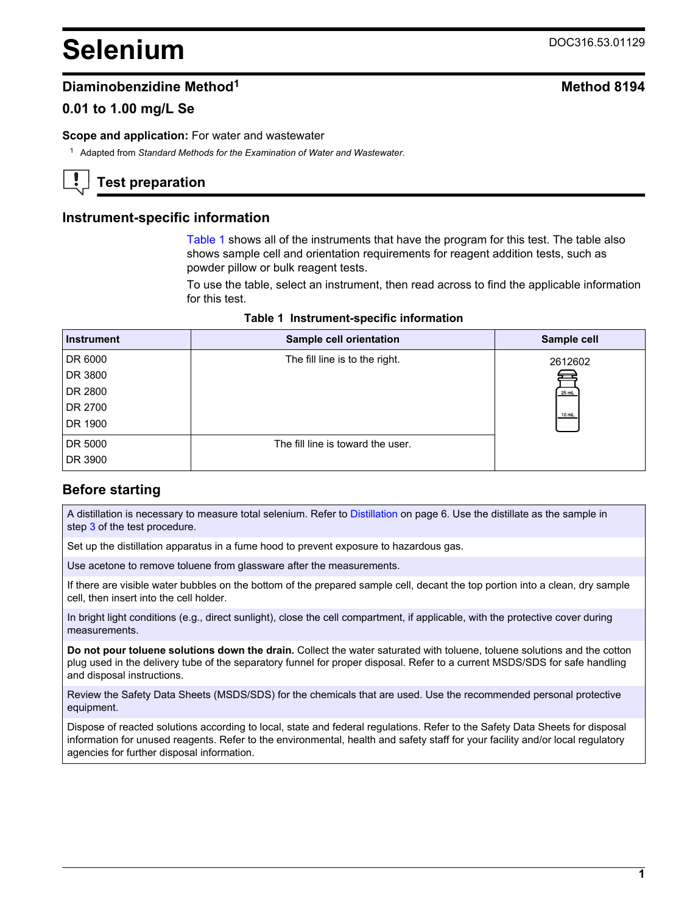# **Selenium** DOC316.53.01129

## **Diaminobenzidine Method**<sup>1</sup> **Method** 8194

## **0.01 to 1.00 mg/L Se**

#### **Scope and application:** For water and wastewater

<sup>1</sup> Adapted from *Standard Methods for the Examination of Water and Wastewater*.

## **Test preparation**

## **Instrument-specific information**

[Table 1](#page-0-0) shows all of the instruments that have the program for this test. The table also shows sample cell and orientation requirements for reagent addition tests, such as powder pillow or bulk reagent tests.

To use the table, select an instrument, then read across to find the applicable information for this test.

|  | Table 1 Instrument-specific information |  |
|--|-----------------------------------------|--|
|--|-----------------------------------------|--|

<span id="page-0-1"></span><span id="page-0-0"></span>

| <b>Instrument</b> | Sample cell orientation           | Sample cell |
|-------------------|-----------------------------------|-------------|
| DR 6000           | The fill line is to the right.    | 2612602     |
| DR 3800           |                                   |             |
| DR 2800           |                                   | 25 mL       |
| DR 2700           |                                   | 10 mL       |
| DR 1900           |                                   |             |
| DR 5000           | The fill line is toward the user. |             |
| DR 3900           |                                   |             |

## **Before starting**

A distillation is necessary to measure total selenium. Refer to [Distillation](#page-5-0) on page 6. Use the distillate as the sample in step 3 of the test procedure.

Set up the distillation apparatus in a fume hood to prevent exposure to hazardous gas.

Use acetone to remove toluene from glassware after the measurements.

If there are visible water bubbles on the bottom of the prepared sample cell, decant the top portion into a clean, dry sample cell, then insert into the cell holder.

In bright light conditions (e.g., direct sunlight), close the cell compartment, if applicable, with the protective cover during measurements.

**Do not pour toluene solutions down the drain.** Collect the water saturated with toluene, toluene solutions and the cotton plug used in the delivery tube of the separatory funnel for proper disposal. Refer to a current MSDS/SDS for safe handling and disposal instructions.

Review the Safety Data Sheets (MSDS/SDS) for the chemicals that are used. Use the recommended personal protective equipment.

Dispose of reacted solutions according to local, state and federal regulations. Refer to the Safety Data Sheets for disposal information for unused reagents. Refer to the environmental, health and safety staff for your facility and/or local regulatory agencies for further disposal information.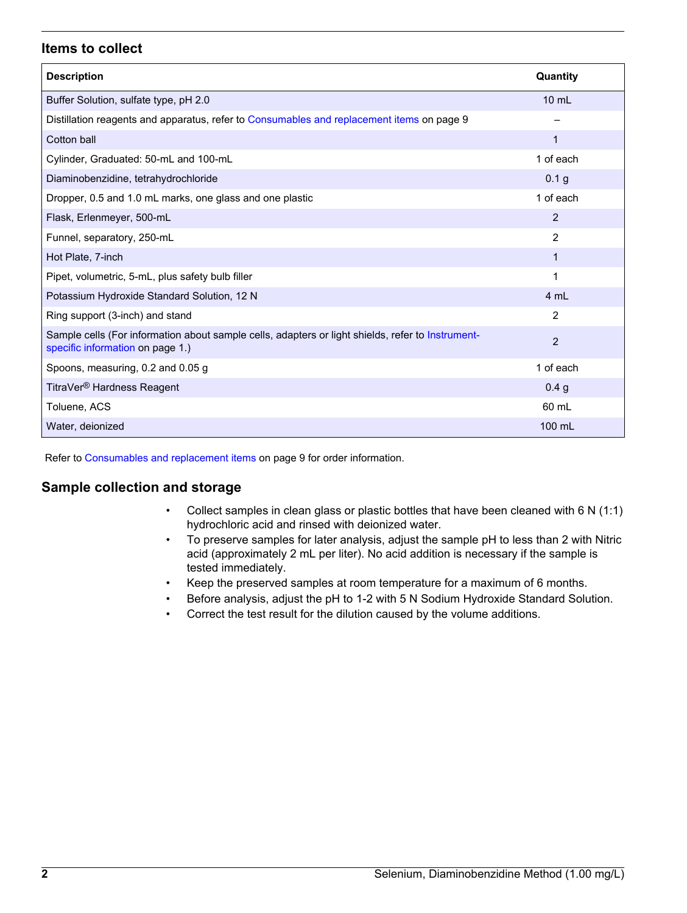#### **Items to collect**

| <b>Description</b>                                                                                                                    | Quantity         |
|---------------------------------------------------------------------------------------------------------------------------------------|------------------|
| Buffer Solution, sulfate type, pH 2.0                                                                                                 | $10 \text{ mL}$  |
| Distillation reagents and apparatus, refer to Consumables and replacement items on page 9                                             |                  |
| Cotton ball                                                                                                                           | $\mathbf{1}$     |
| Cylinder, Graduated: 50-mL and 100-mL                                                                                                 | 1 of each        |
| Diaminobenzidine, tetrahydrochloride                                                                                                  | 0.1 g            |
| Dropper, 0.5 and 1.0 mL marks, one glass and one plastic                                                                              | 1 of each        |
| Flask, Erlenmeyer, 500-mL                                                                                                             | 2                |
| Funnel, separatory, 250-mL                                                                                                            | $\overline{2}$   |
| Hot Plate, 7-inch                                                                                                                     | 1                |
| Pipet, volumetric, 5-mL, plus safety bulb filler                                                                                      | 1                |
| Potassium Hydroxide Standard Solution, 12 N                                                                                           | 4 mL             |
| Ring support (3-inch) and stand                                                                                                       | 2                |
| Sample cells (For information about sample cells, adapters or light shields, refer to Instrument-<br>specific information on page 1.) | 2                |
| Spoons, measuring, 0.2 and 0.05 g                                                                                                     | 1 of each        |
| TitraVer <sup>®</sup> Hardness Reagent                                                                                                | 0.4 <sub>q</sub> |
| Toluene, ACS                                                                                                                          | 60 mL            |
| Water, deionized                                                                                                                      | 100 mL           |

Refer to [Consumables and replacement items](#page-8-0) on page 9 for order information.

#### **Sample collection and storage**

- Collect samples in clean glass or plastic bottles that have been cleaned with 6 N (1:1) hydrochloric acid and rinsed with deionized water.
- To preserve samples for later analysis, adjust the sample pH to less than 2 with Nitric acid (approximately 2 mL per liter). No acid addition is necessary if the sample is tested immediately.
- Keep the preserved samples at room temperature for a maximum of 6 months.
- Before analysis, adjust the pH to 1-2 with 5 N Sodium Hydroxide Standard Solution.
- Correct the test result for the dilution caused by the volume additions.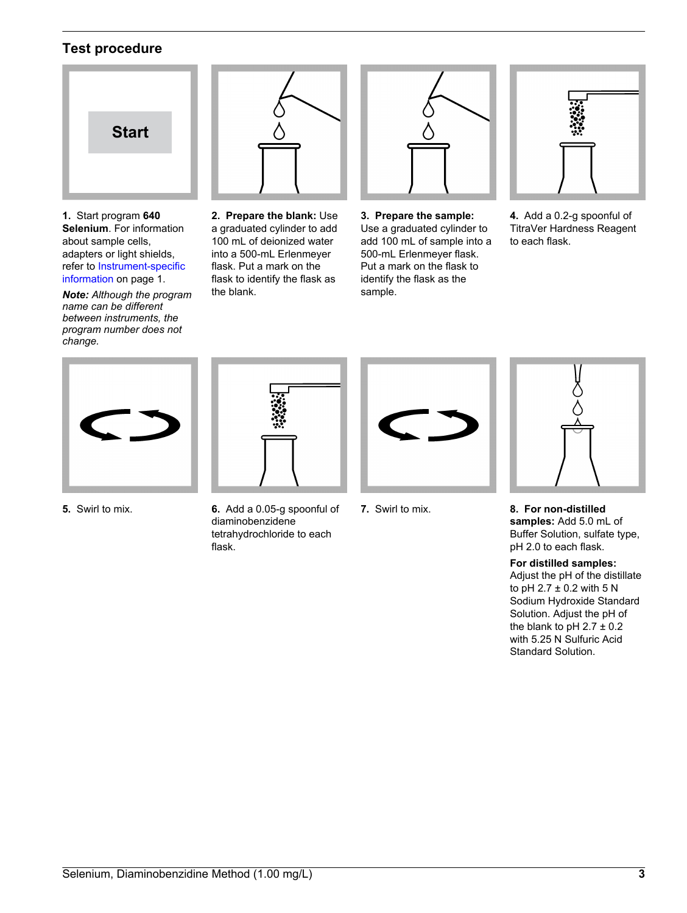### **Test procedure**



**1.** Start program **640 Selenium**. For information about sample cells, adapters or light shields, refer to [Instrument-specific](#page-0-1) [information](#page-0-1) on page 1.

*Note: Although the program name can be different between instruments, the program number does not change.*



**2. Prepare the blank:** Use a graduated cylinder to add 100 mL of deionized water into a 500-mL Erlenmeyer flask. Put a mark on the flask to identify the flask as the blank.



**3. Prepare the sample:** Use a graduated cylinder to add 100 mL of sample into a 500-mL Erlenmeyer flask. Put a mark on the flask to identify the flask as the sample.



**4.** Add a 0.2-g spoonful of TitraVer Hardness Reagent to each flask.





- **5.** Swirl to mix. **6.** Add a 0.05-g spoonful of diaminobenzidene tetrahydrochloride to each flask.
- 
- 



**7.** Swirl to mix. **8. For non-distilled samples:** Add 5.0 mL of Buffer Solution, sulfate type, pH 2.0 to each flask.

#### **For distilled samples:**

Adjust the pH of the distillate to pH  $2.7 \pm 0.2$  with  $5 N$ Sodium Hydroxide Standard Solution. Adjust the pH of the blank to pH  $2.7 \pm 0.2$ with 5.25 N Sulfuric Acid Standard Solution.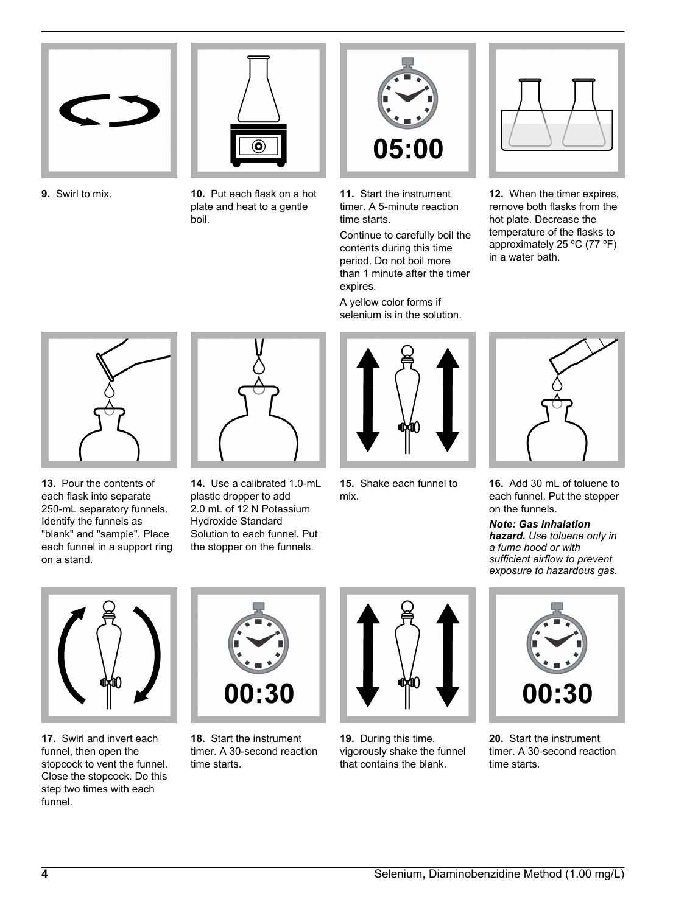



**9.** Swirl to mix. **10.** Put each flask on a hot plate and heat to a gentle boil.



**11.** Start the instrument timer. A 5-minute reaction time starts.

Continue to carefully boil the contents during this time period. Do not boil more than 1 minute after the timer expires.

A yellow color forms if selenium is in the solution.



**12.** When the timer expires, remove both flasks from the hot plate. Decrease the temperature of the flasks to approximately 25 ºC (77 ºF) in a water bath.



**13.** Pour the contents of each flask into separate 250-mL separatory funnels. Identify the funnels as "blank" and "sample". Place each funnel in a support ring on a stand.



**14.** Use a calibrated 1.0-mL plastic dropper to add 2.0 mL of 12 N Potassium Hydroxide Standard Solution to each funnel. Put the stopper on the funnels.



**15.** Shake each funnel to mix.



**16.** Add 30 mL of toluene to each funnel. Put the stopper on the funnels.

*Note: Gas inhalation hazard. Use toluene only in a fume hood or with sufficient airflow to prevent exposure to hazardous gas.*



**17.** Swirl and invert each funnel, then open the stopcock to vent the funnel. Close the stopcock. Do this step two times with each funnel.



**18.** Start the instrument timer. A 30-second reaction time starts.



**19.** During this time, vigorously shake the funnel that contains the blank.



**20.** Start the instrument timer. A 30-second reaction time starts.

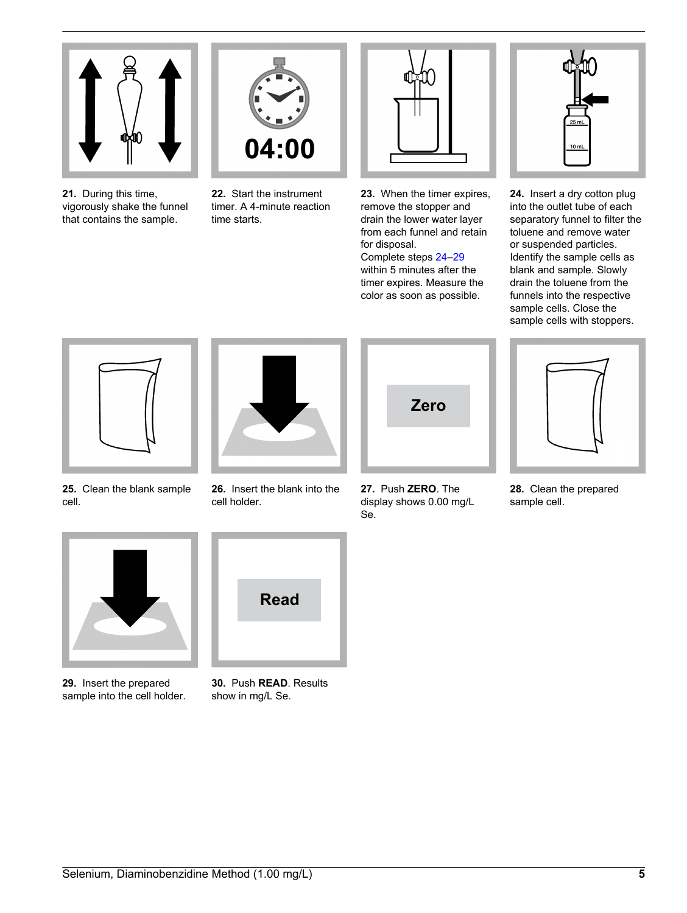

**21.** During this time, vigorously shake the funnel that contains the sample.



**22.** Start the instrument timer. A 4-minute reaction time starts.



**23.** When the timer expires, remove the stopper and drain the lower water layer from each funnel and retain for disposal. Complete steps 24–29

within 5 minutes after the timer expires. Measure the color as soon as possible.



**24.** Insert a dry cotton plug into the outlet tube of each separatory funnel to filter the toluene and remove water or suspended particles. Identify the sample cells as blank and sample. Slowly drain the toluene from the funnels into the respective sample cells. Close the sample cells with stoppers.



**25.** Clean the blank sample cell.

**29.** Insert the prepared sample into the cell holder.



**26.** Insert the blank into the cell holder.



**30.** Push **READ**. Results show in mg/L Se.



**27.** Push **ZERO**. The display shows 0.00 mg/L Se.



**28.** Clean the prepared sample cell.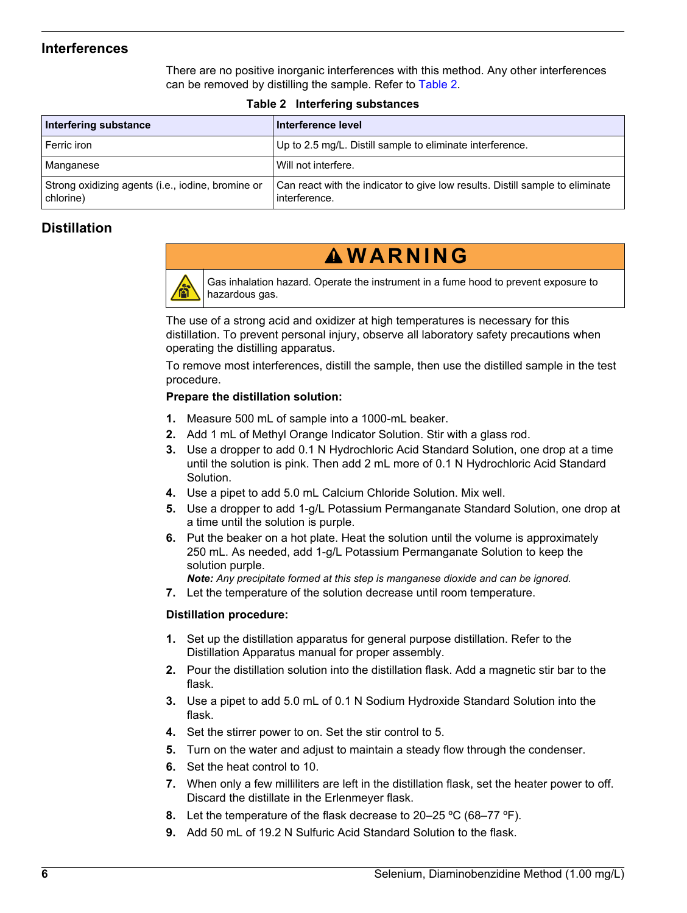#### **Interferences**

There are no positive inorganic interferences with this method. Any other interferences can be removed by distilling the sample. Refer to [Table 2](#page-5-1).

<span id="page-5-1"></span><span id="page-5-0"></span>

| Interfering substance                                          | Interference level                                                                             |  |  |  |
|----------------------------------------------------------------|------------------------------------------------------------------------------------------------|--|--|--|
| Ferric iron                                                    | Up to 2.5 mg/L. Distill sample to eliminate interference.                                      |  |  |  |
| Manganese                                                      | Will not interfere.                                                                            |  |  |  |
| Strong oxidizing agents (i.e., iodine, bromine or<br>chlorine) | Can react with the indicator to give low results. Distill sample to eliminate<br>interference. |  |  |  |

#### **Table 2 Interfering substances**

## **Distillation**



## **W A R N I N G**

Gas inhalation hazard. Operate the instrument in a fume hood to prevent exposure to hazardous gas.

The use of a strong acid and oxidizer at high temperatures is necessary for this distillation. To prevent personal injury, observe all laboratory safety precautions when operating the distilling apparatus.

To remove most interferences, distill the sample, then use the distilled sample in the test procedure.

#### **Prepare the distillation solution:**

- **1.** Measure 500 mL of sample into a 1000-mL beaker.
- **2.** Add 1 mL of Methyl Orange Indicator Solution. Stir with a glass rod.
- **3.** Use a dropper to add 0.1 N Hydrochloric Acid Standard Solution, one drop at a time until the solution is pink. Then add 2 mL more of 0.1 N Hydrochloric Acid Standard Solution.
- **4.** Use a pipet to add 5.0 mL Calcium Chloride Solution. Mix well.
- **5.** Use a dropper to add 1-g/L Potassium Permanganate Standard Solution, one drop at a time until the solution is purple.
- **6.** Put the beaker on a hot plate. Heat the solution until the volume is approximately 250 mL. As needed, add 1-g/L Potassium Permanganate Solution to keep the solution purple.
	- *Note: Any precipitate formed at this step is manganese dioxide and can be ignored.*
- **7.** Let the temperature of the solution decrease until room temperature.

#### **Distillation procedure:**

- **1.** Set up the distillation apparatus for general purpose distillation. Refer to the Distillation Apparatus manual for proper assembly.
- **2.** Pour the distillation solution into the distillation flask. Add a magnetic stir bar to the flask.
- **3.** Use a pipet to add 5.0 mL of 0.1 N Sodium Hydroxide Standard Solution into the flask.
- **4.** Set the stirrer power to on. Set the stir control to 5.
- **5.** Turn on the water and adjust to maintain a steady flow through the condenser.
- **6.** Set the heat control to 10.
- **7.** When only a few milliliters are left in the distillation flask, set the heater power to off. Discard the distillate in the Erlenmeyer flask.
- **8.** Let the temperature of the flask decrease to 20–25 ºC (68–77 ºF).
- **9.** Add 50 mL of 19.2 N Sulfuric Acid Standard Solution to the flask.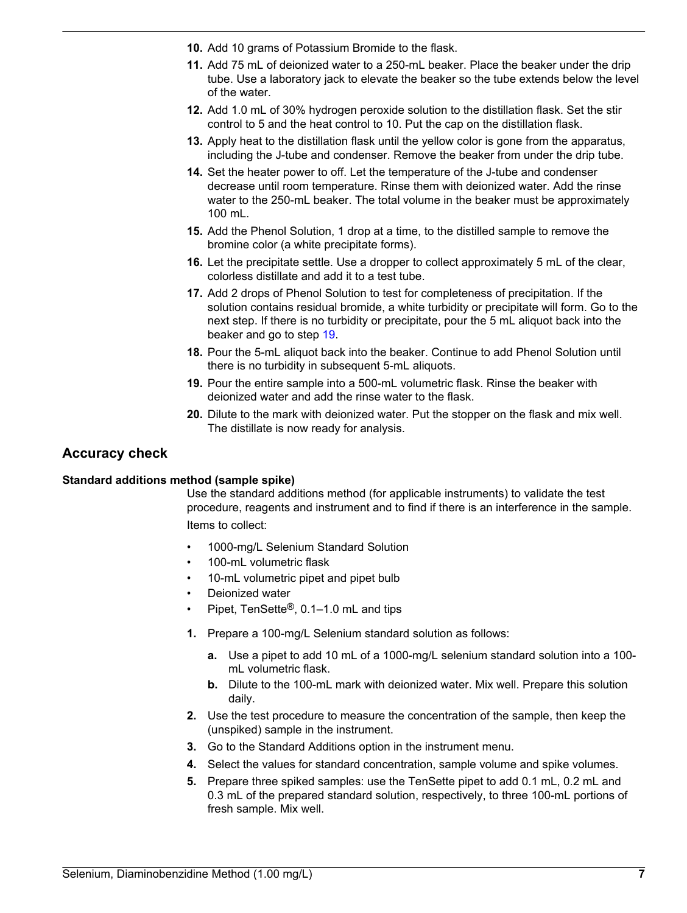- **10.** Add 10 grams of Potassium Bromide to the flask.
- **11.** Add 75 mL of deionized water to a 250-mL beaker. Place the beaker under the drip tube. Use a laboratory jack to elevate the beaker so the tube extends below the level of the water.
- **12.** Add 1.0 mL of 30% hydrogen peroxide solution to the distillation flask. Set the stir control to 5 and the heat control to 10. Put the cap on the distillation flask.
- **13.** Apply heat to the distillation flask until the yellow color is gone from the apparatus, including the J-tube and condenser. Remove the beaker from under the drip tube.
- **14.** Set the heater power to off. Let the temperature of the J-tube and condenser decrease until room temperature. Rinse them with deionized water. Add the rinse water to the 250-mL beaker. The total volume in the beaker must be approximately 100 mL.
- **15.** Add the Phenol Solution, 1 drop at a time, to the distilled sample to remove the bromine color (a white precipitate forms).
- **16.** Let the precipitate settle. Use a dropper to collect approximately 5 mL of the clear, colorless distillate and add it to a test tube.
- **17.** Add 2 drops of Phenol Solution to test for completeness of precipitation. If the solution contains residual bromide, a white turbidity or precipitate will form. Go to the next step. If there is no turbidity or precipitate, pour the 5 mL aliquot back into the beaker and go to step [19.](#page-6-0)
- **18.** Pour the 5-mL aliquot back into the beaker. Continue to add Phenol Solution until there is no turbidity in subsequent 5-mL aliquots.
- **19.** Pour the entire sample into a 500-mL volumetric flask. Rinse the beaker with deionized water and add the rinse water to the flask.
- **20.** Dilute to the mark with deionized water. Put the stopper on the flask and mix well. The distillate is now ready for analysis.

#### <span id="page-6-0"></span>**Accuracy check**

#### **Standard additions method (sample spike)**

Use the standard additions method (for applicable instruments) to validate the test procedure, reagents and instrument and to find if there is an interference in the sample. Items to collect:

- 1000-mg/L Selenium Standard Solution
- 100-mL volumetric flask
- 10-mL volumetric pipet and pipet bulb
- Deionized water
- Pipet, TenSette®, 0.1–1.0 mL and tips
- **1.** Prepare a 100-mg/L Selenium standard solution as follows:
	- **a.** Use a pipet to add 10 mL of a 1000-mg/L selenium standard solution into a 100 mL volumetric flask.
	- **b.** Dilute to the 100-mL mark with deionized water. Mix well. Prepare this solution daily.
- **2.** Use the test procedure to measure the concentration of the sample, then keep the (unspiked) sample in the instrument.
- **3.** Go to the Standard Additions option in the instrument menu.
- **4.** Select the values for standard concentration, sample volume and spike volumes.
- **5.** Prepare three spiked samples: use the TenSette pipet to add 0.1 mL, 0.2 mL and 0.3 mL of the prepared standard solution, respectively, to three 100-mL portions of fresh sample. Mix well.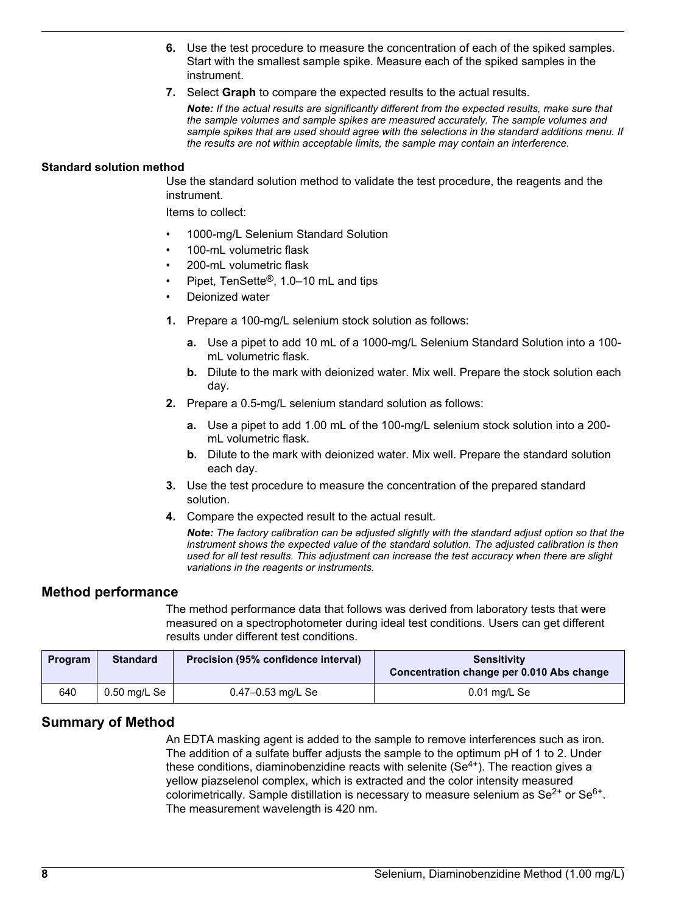- **6.** Use the test procedure to measure the concentration of each of the spiked samples. Start with the smallest sample spike. Measure each of the spiked samples in the instrument.
- **7.** Select **Graph** to compare the expected results to the actual results.

*Note: If the actual results are significantly different from the expected results, make sure that the sample volumes and sample spikes are measured accurately. The sample volumes and sample spikes that are used should agree with the selections in the standard additions menu. If the results are not within acceptable limits, the sample may contain an interference.*

#### **Standard solution method**

Use the standard solution method to validate the test procedure, the reagents and the instrument.

Items to collect:

- 1000-mg/L Selenium Standard Solution
- 100-mL volumetric flask
- 200-mL volumetric flask
- Pipet, TenSette®, 1.0–10 mL and tips
- Deionized water
- **1.** Prepare a 100-mg/L selenium stock solution as follows:
	- **a.** Use a pipet to add 10 mL of a 1000-mg/L Selenium Standard Solution into a 100 mL volumetric flask.
	- **b.** Dilute to the mark with deionized water. Mix well. Prepare the stock solution each day.
- **2.** Prepare a 0.5-mg/L selenium standard solution as follows:
	- **a.** Use a pipet to add 1.00 mL of the 100-mg/L selenium stock solution into a 200 mL volumetric flask.
	- **b.** Dilute to the mark with deionized water. Mix well. Prepare the standard solution each day.
- **3.** Use the test procedure to measure the concentration of the prepared standard solution.
- **4.** Compare the expected result to the actual result.

*Note: The factory calibration can be adjusted slightly with the standard adjust option so that the instrument shows the expected value of the standard solution. The adjusted calibration is then used for all test results. This adjustment can increase the test accuracy when there are slight variations in the reagents or instruments.*

#### **Method performance**

The method performance data that follows was derived from laboratory tests that were measured on a spectrophotometer during ideal test conditions. Users can get different results under different test conditions.

| Program | <b>Standard</b> | Precision (95% confidence interval) | <b>Sensitivity</b><br>Concentration change per 0.010 Abs change |
|---------|-----------------|-------------------------------------|-----------------------------------------------------------------|
| 640     | $0.50$ mg/L Se  | 0.47-0.53 mg/L Se                   | $0.01$ mg/L Se                                                  |

#### **Summary of Method**

An EDTA masking agent is added to the sample to remove interferences such as iron. The addition of a sulfate buffer adjusts the sample to the optimum pH of 1 to 2. Under these conditions, diaminobenzidine reacts with selenite  $(Se<sup>4+</sup>)$ . The reaction gives a yellow piazselenol complex, which is extracted and the color intensity measured colorimetrically. Sample distillation is necessary to measure selenium as  $\text{Se}^{2+}$  or  $\text{Se}^{6+}$ . The measurement wavelength is 420 nm.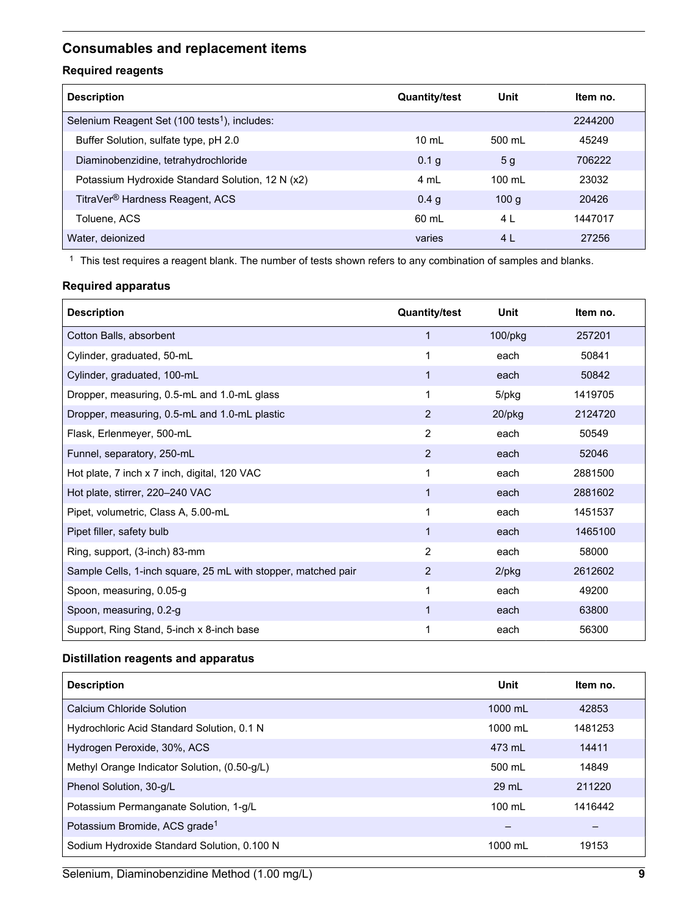## <span id="page-8-0"></span>**Consumables and replacement items**

#### **Required reagents**

| <b>Description</b>                                        | <b>Quantity/test</b> | <b>Unit</b>      | Item no. |
|-----------------------------------------------------------|----------------------|------------------|----------|
| Selenium Reagent Set (100 tests <sup>1</sup> ), includes: |                      |                  | 2244200  |
| Buffer Solution, sulfate type, pH 2.0                     | $10 \text{ ml}$      | 500 ml           | 45249    |
| Diaminobenzidine, tetrahydrochloride                      | 0.1 g                | 5 <sub>q</sub>   | 706222   |
| Potassium Hydroxide Standard Solution, 12 N (x2)          | 4 mL                 | $100 \text{ ml}$ | 23032    |
| TitraVer <sup>®</sup> Hardness Reagent, ACS               | 0.4 <sub>q</sub>     | 100q             | 20426    |
| Toluene, ACS                                              | 60 ml                | 4 L              | 1447017  |
| Water, deionized                                          | varies               | 4 L              | 27256    |

 $1$  This test requires a reagent blank. The number of tests shown refers to any combination of samples and blanks.

#### **Required apparatus**

| <b>Description</b>                                            | <b>Quantity/test</b> | Unit     | Item no. |
|---------------------------------------------------------------|----------------------|----------|----------|
| Cotton Balls, absorbent                                       | $\mathbf 1$          | 100/pkg  | 257201   |
| Cylinder, graduated, 50-mL                                    | 1                    | each     | 50841    |
| Cylinder, graduated, 100-mL                                   | 1                    | each     | 50842    |
| Dropper, measuring, 0.5-mL and 1.0-mL glass                   | 1                    | 5/pkg    | 1419705  |
| Dropper, measuring, 0.5-mL and 1.0-mL plastic                 | 2                    | 20/pkg   | 2124720  |
| Flask, Erlenmeyer, 500-mL                                     | 2                    | each     | 50549    |
| Funnel, separatory, 250-mL                                    | 2                    | each     | 52046    |
| Hot plate, 7 inch x 7 inch, digital, 120 VAC                  | 1                    | each     | 2881500  |
| Hot plate, stirrer, 220-240 VAC                               | $\mathbf{1}$         | each     | 2881602  |
| Pipet, volumetric, Class A, 5.00-mL                           | 1                    | each     | 1451537  |
| Pipet filler, safety bulb                                     | 1                    | each     | 1465100  |
| Ring, support, (3-inch) 83-mm                                 | 2                    | each     | 58000    |
| Sample Cells, 1-inch square, 25 mL with stopper, matched pair | 2                    | $2$ /pkg | 2612602  |
| Spoon, measuring, 0.05-g                                      | 1                    | each     | 49200    |
| Spoon, measuring, 0.2-g                                       | 1                    | each     | 63800    |
| Support, Ring Stand, 5-inch x 8-inch base                     | 1                    | each     | 56300    |

#### **Distillation reagents and apparatus**

| <b>Description</b>                           | Unit              | Item no. |
|----------------------------------------------|-------------------|----------|
| Calcium Chloride Solution                    | 1000 mL           | 42853    |
| Hydrochloric Acid Standard Solution, 0.1 N   | $1000 \text{ ml}$ | 1481253  |
| Hydrogen Peroxide, 30%, ACS                  | 473 ml            | 14411    |
| Methyl Orange Indicator Solution, (0.50-g/L) | 500 mL            | 14849    |
| Phenol Solution, 30-g/L                      | $29$ mL           | 211220   |
| Potassium Permanganate Solution, 1-g/L       | $100 \text{ mL}$  | 1416442  |
| Potassium Bromide, ACS grade <sup>1</sup>    |                   |          |
| Sodium Hydroxide Standard Solution, 0.100 N  | 1000 mL           | 19153    |

Selenium, Diaminobenzidine Method (1.00 mg/L) **9**